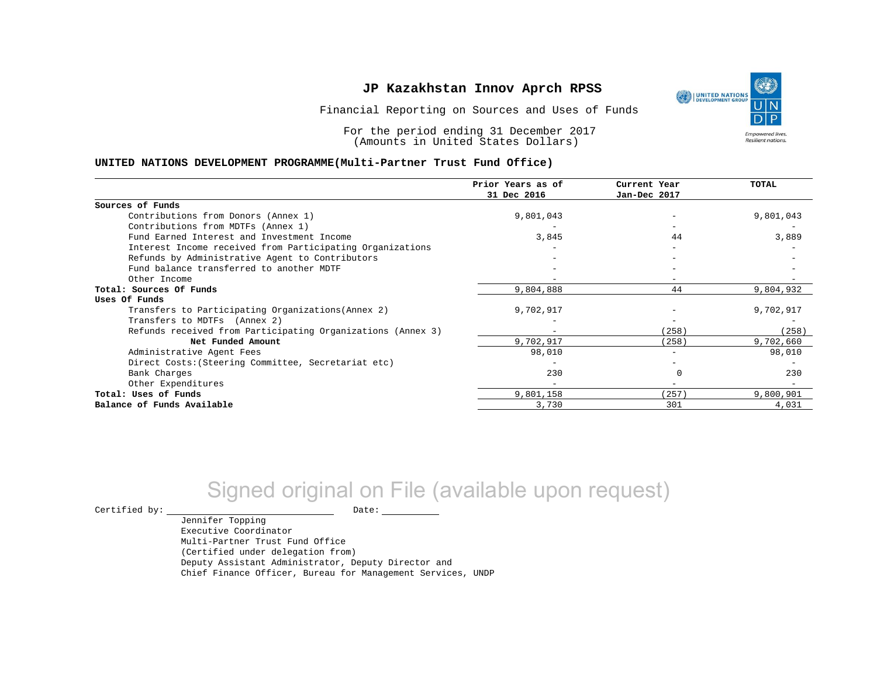Financial Reporting on Sources and Uses of Funds

For the period ending 31 December 2017 (Amounts in United States Dollars)

#### **UNITED NATIONS DEVELOPMENT PROGRAMME(Multi-Partner Trust Fund Office)**

|                                                             | Prior Years as of<br>31 Dec 2016 | Current Year<br>Jan-Dec 2017 | TOTAL     |
|-------------------------------------------------------------|----------------------------------|------------------------------|-----------|
|                                                             |                                  |                              |           |
| Sources of Funds                                            |                                  |                              |           |
| Contributions from Donors (Annex 1)                         | 9,801,043                        |                              | 9,801,043 |
| Contributions from MDTFs (Annex 1)                          |                                  |                              |           |
| Fund Earned Interest and Investment Income                  | 3,845                            | 44                           | 3,889     |
| Interest Income received from Participating Organizations   |                                  |                              |           |
| Refunds by Administrative Agent to Contributors             |                                  |                              |           |
| Fund balance transferred to another MDTF                    |                                  |                              |           |
| Other Income                                                |                                  |                              |           |
| Total: Sources Of Funds                                     | 9,804,888                        | 44                           | 9,804,932 |
| Uses Of Funds                                               |                                  |                              |           |
| Transfers to Participating Organizations (Annex 2)          | 9,702,917                        |                              | 9,702,917 |
| Transfers to MDTFs (Annex 2)                                |                                  |                              |           |
| Refunds received from Participating Organizations (Annex 3) |                                  | (258)                        | (258)     |
| Net Funded Amount                                           | 9,702,917                        | (258)                        | 9,702,660 |
| Administrative Agent Fees                                   | 98,010                           | -                            | 98,010    |
| Direct Costs: (Steering Committee, Secretariat etc)         |                                  |                              |           |
| Bank Charges                                                | 230                              |                              | 230       |
| Other Expenditures                                          |                                  |                              |           |
| Total: Uses of Funds                                        | 9,801,158                        | 257)                         | 9,800,901 |
| Balance of Funds Available                                  | 3,730                            | 301                          | 4,031     |

# Signed original on File (available upon request)

 $\begin{picture}(180,180)(0,0) \put(0,0){\vector(1,0){180}} \put(15,0){\vector(1,0){180}} \put(15,0){\vector(1,0){180}} \put(15,0){\vector(1,0){180}} \put(15,0){\vector(1,0){180}} \put(15,0){\vector(1,0){180}} \put(15,0){\vector(1,0){180}} \put(15,0){\vector(1,0){180}} \put(15,0){\vector(1,0){180}} \put(15,0){\vector(1,0){180}} \put(15,0){\vector(1,0$ 

Jennifer Topping Executive Coordinator Multi-Partner Trust Fund Office (Certified under delegation from) Deputy Assistant Administrator, Deputy Director and Chief Finance Officer, Bureau for Management Services, UNDP



Resilient nations.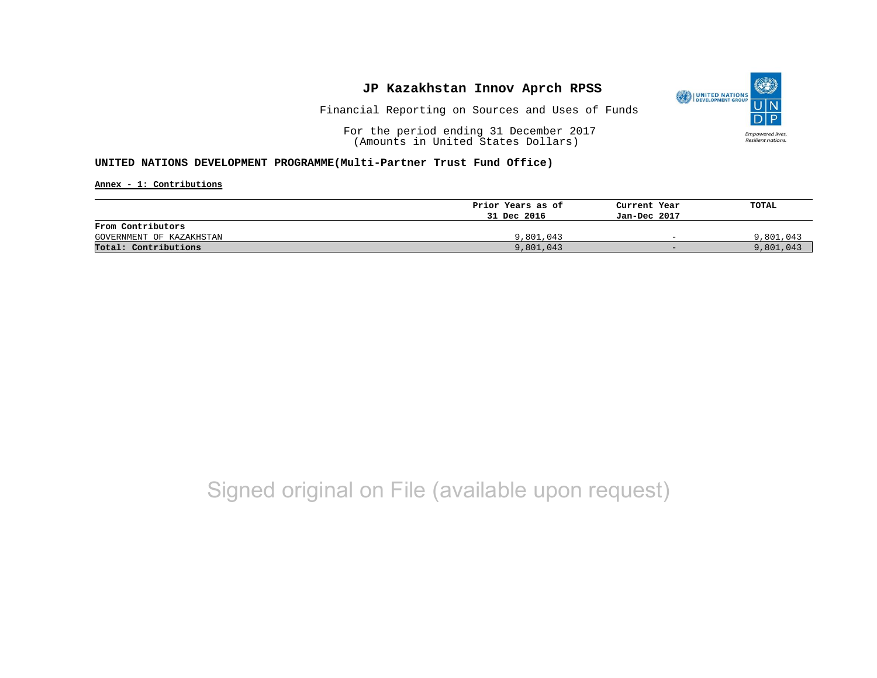

Financial Reporting on Sources and Uses of Funds

For the period ending 31 December 2017 (Amounts in United States Dollars)

#### **UNITED NATIONS DEVELOPMENT PROGRAMME(Multi-Partner Trust Fund Office)**

**Annex - 1: Contributions**

|                          | Prior Years as of | Current Year             | TOTAL     |
|--------------------------|-------------------|--------------------------|-----------|
|                          | 31 Dec 2016       | Jan-Dec 2017             |           |
| From Contributors        |                   |                          |           |
| GOVERNMENT OF KAZAKHSTAN | 9,801,043         | $\overline{\phantom{0}}$ | 9,801,043 |
| Total: Contributions     | 9,801,043         | $-$                      | 9,801,043 |

## Signed original on File (available upon request)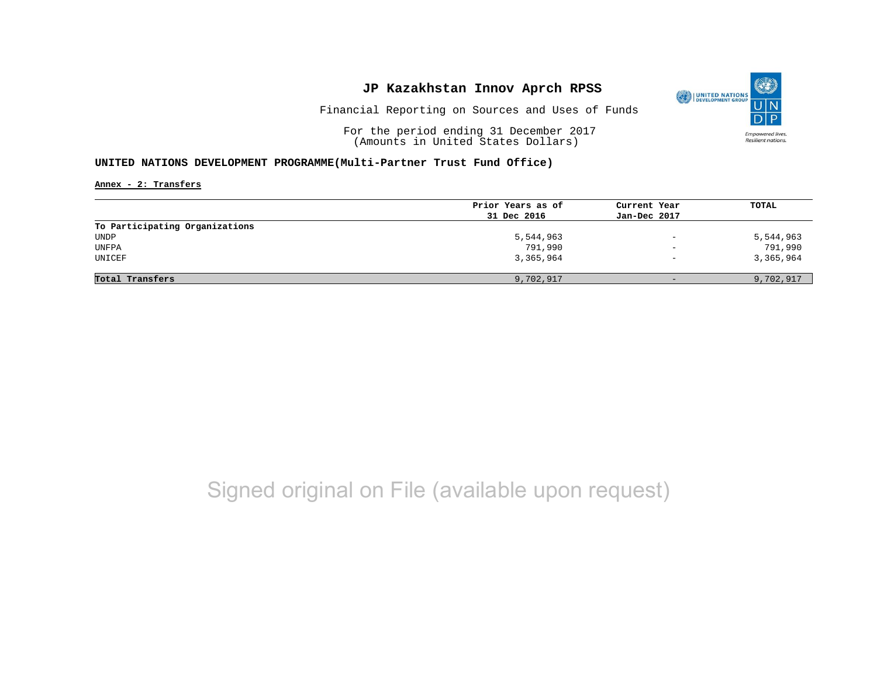

Financial Reporting on Sources and Uses of Funds

For the period ending 31 December 2017 (Amounts in United States Dollars)

#### **UNITED NATIONS DEVELOPMENT PROGRAMME(Multi-Partner Trust Fund Office)**

**Annex - 2: Transfers**

| Prior Years as of | Current Year             | TOTAL     |
|-------------------|--------------------------|-----------|
| 31 Dec 2016       | Jan-Dec 2017             |           |
|                   |                          |           |
| 5,544,963         | $\overline{\phantom{0}}$ | 5,544,963 |
| 791,990           | $\overline{\phantom{0}}$ | 791,990   |
| 3,365,964         | $\overline{\phantom{a}}$ | 3,365,964 |
| 9,702,917         | $\overline{\phantom{0}}$ | 9,702,917 |
|                   |                          |           |

# Signed original on File (available upon request)